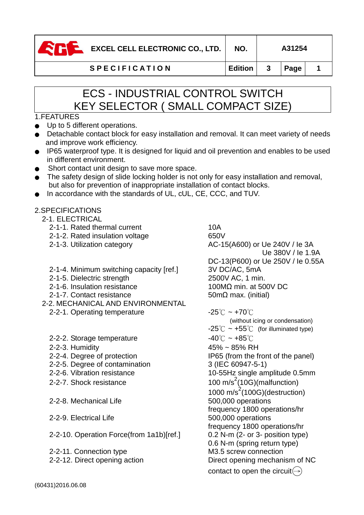| EXCEL CELL ELECTRONIC CO., LTD. |                      | NO.     |               | A31254   |  |
|---------------------------------|----------------------|---------|---------------|----------|--|
|                                 | <b>SPECIFICATION</b> | Edition | $\frac{1}{3}$ | $ $ Page |  |

# ECS - INDUSTRIAL CONTROL SWITCH KEY SELECTOR ( SMALL COMPACT SIZE)

## 1.FEATURES

- Up to 5 different operations.
- Detachable contact block for easy installation and removal. It can meet variety of needs and improve work efficiency.
- IP65 waterproof type. It is designed for liquid and oil prevention and enables to be used in different environment.
- Short contact unit design to save more space.
- The safety design of slide locking holder is not only for easy installation and removal, but also for prevention of inappropriate installation of contact blocks.
- In accordance with the standards of UL, cUL, CE, CCC, and TUV.

## 2.SPECIFICATIONS

- 2-1. ELECTRICAL
	- 2-1-1. Rated thermal current 10A
	- 2-1-2. Rated insulation voltage 650V
	-
	- 2-1-4. Minimum switching capacity [ref.] 3V DC/AC, 5mA
	- 2-1-5. Dielectric strength 2500V AC, 1 min.
	- 2-1-6. Insulation resistance 100MΩ min. at 500V DC
	- 2-1-7. Contact resistance 50mΩ max. (initial)
- 2-2. MECHANICAL AND ENVIRONMENTAL
	- 2-2-1. Operating temperature  $-25^{\circ}\text{C} \sim +70^{\circ}\text{C}$
	- 2-2-2. Storage temperature  $-40^{\circ}$ C ~  $+85^{\circ}$ C
	-
	-
	- 2-2-5. Degree of contamination 3 (IEC 60947-5-1)
	-
	- 2-2-7. Shock resistance
	- 2-2-8. Mechanical Life 500,000 operations
	- 2-2-9. Electrical Life 500,000 operations
	- 2-2-10. Operation Force(from 1a1b)[ref.] 0.2 N-m (2- or 3- position type)
	- 2-2-11. Connection type M3.5 screw connection
	-

2-1-3. Utilization category  $AC-15( A600)$  or Ue 240V / le 3A Ue 380V / Ie 1.9A DC-13(P600) or Ue 250V / Ie 0.55A

(without icing or condensation)  $-25^{\circ}$ C ~ +55 $^{\circ}$ C (for illuminated type) 2-2-3. Humidity 45% ~ 85% RH 2-2-4. Degree of protection IP65 (from the front of the panel) 2-2-6. Vibration resistance 10-55Hz single amplitude 0.5mm 100 m/s<sup>2</sup>(10G)(malfunction)  $1000 \text{ m/s}^2 (100 \text{G})$ (destruction) frequency 1800 operations/hr frequency 1800 operations/hr 0.6 N-m (spring return type) 2-2-12. Direct opening action Direct opening mechanism of NC contact to open the circuit $\textcircled{\scriptsize{-}}$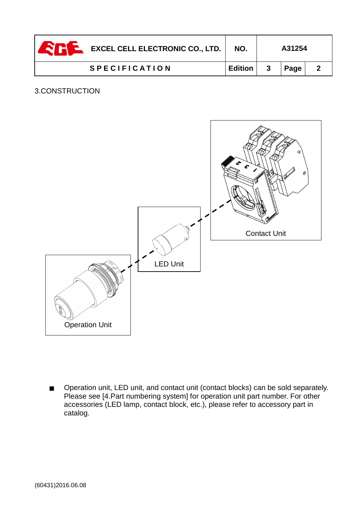| EXCEL CELL ELECTRONIC CO., LTD. | NO.            |   | A31254 |  |
|---------------------------------|----------------|---|--------|--|
| <b>SPECIFICATION</b>            | <b>Edition</b> | 3 | Page   |  |

## 3.CONSTRUCTION



■ Operation unit, LED unit, and contact unit (contact blocks) can be sold separately. Please see [4.Part numbering system] for operation unit part number. For other accessories (LED lamp, contact block, etc.), please refer to accessory part in catalog.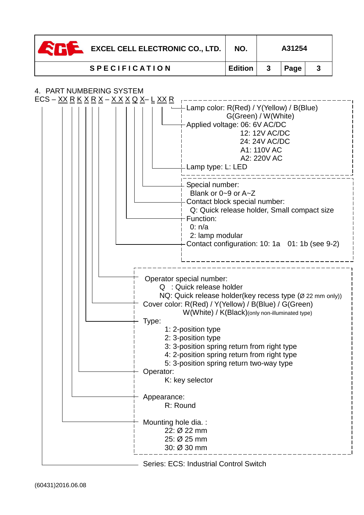| <b>EXCEL CELL ELECTRONIC CO., LTD.</b> | NO.     |    | A31254 |  |
|----------------------------------------|---------|----|--------|--|
| <b>SPECIFICATION</b>                   | Edition | -3 | Page   |  |

## 4. PART NUMBERING SYSTEM

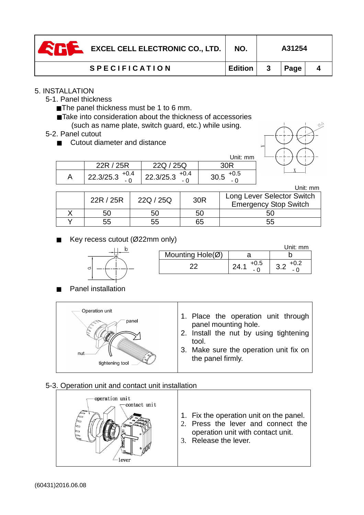| EXCEL CELL ELECTRONIC CO., LTD. | NO.            | A31254 |  |
|---------------------------------|----------------|--------|--|
| <b>SPECIFICATION</b>            | <b>Edition</b> | Page   |  |

## 5. INSTALLATION

- 5-1. Panel thickness
	- The panel thickness must be 1 to 6 mm.
	- ■Take into consideration about the thickness of accessories (such as name plate, switch guard, etc.) while using.
- 5-2. Panel cutout
	- Cutout diameter and distance

|                     |                          | Unit: mm       |
|---------------------|--------------------------|----------------|
| 22R / 25R           | 22Q / 25Q                |                |
| 22.3/25.3 $^{+0.4}$ | 22.3/25.3 $^{+0.4}$<br>- | $+0.5$<br>30.5 |

|  |           |           |     | Unit: mm                                                   |
|--|-----------|-----------|-----|------------------------------------------------------------|
|  | 22R / 25R | 22Q / 25Q | 30R | Long Lever Selector Switch<br><b>Emergency Stop Switch</b> |
|  | 50        | 50        | 50  |                                                            |
|  | 55        | 55        | 65  | 55                                                         |

Key recess cutout (Ø22mm only)



|   |                            |                                     | Jnit: mm         |
|---|----------------------------|-------------------------------------|------------------|
|   | Mounting $Hole(\emptyset)$ |                                     |                  |
| O |                            | $+0.5$<br>$2\Delta$<br><u>. т. </u> | +v.z<br>v.L<br>- |

Panel installation



## 5-3. Operation unit and contact unit installation

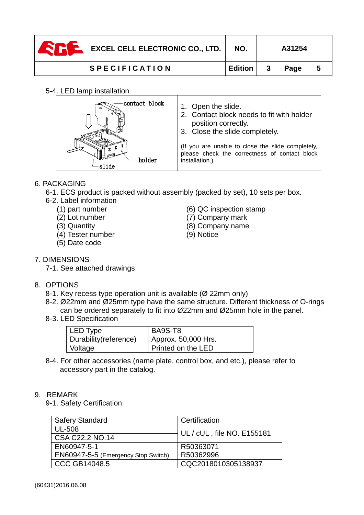| $\sum_{i=1}^{n}$ EXCEL CELL ELECTRONIC CO., LTD. | NO.     |              | A31254 |   |
|--------------------------------------------------|---------|--------------|--------|---|
| <b>SPECIFICATION</b>                             | Edition | $\mathbf{3}$ | Page   | 5 |

### 5-4. LED lamp installation

| contact block | 1. Open the slide.<br>2. Contact block needs to fit with holder<br>position correctly.<br>3. Close the slide completely. |
|---------------|--------------------------------------------------------------------------------------------------------------------------|
| holder        | (If you are unable to close the slide completely,<br>please check the correctness of contact block<br>installation.)     |

## 6. PACKAGING

- 6-1. ECS product is packed without assembly (packed by set), 10 sets per box.
- 6-2. Label information
	-
	-
	-
	- (4) Tester number (9) Notice
	- (5) Date code
	- (1) part number (6) QC inspection stamp
	- (2) Lot number (7) Company mark
	- (3) Quantity (8) Company name
		-

- 7. DIMENSIONS
	- 7-1. See attached drawings

## 8. OPTIONS

- 8-1. Key recess type operation unit is available (Ø 22mm only)
- 8-2. Ø22mm and Ø25mm type have the same structure. Different thickness of O-rings can be ordered separately to fit into Ø22mm and Ø25mm hole in the panel.
- 8-3. LED Specification

| LED Type               | BA9S-T8             |
|------------------------|---------------------|
| Durability (reference) | Approx. 50,000 Hrs. |
| Voltage                | Printed on the LED  |

8-4. For other accessories (name plate, control box, and etc.), please refer to accessory part in the catalog.

## 9. REMARK

9-1. Safety Certification

| <b>Safery Standard</b>              | Certification              |
|-------------------------------------|----------------------------|
| <b>UL-508</b>                       | UL / cUL, file NO. E155181 |
| CSA C22.2 NO.14                     |                            |
| EN60947-5-1                         | R50363071                  |
| EN60947-5-5 (Emergency Stop Switch) | R50362996                  |
| <b>CCC GB14048.5</b>                | CQC2018010305138937        |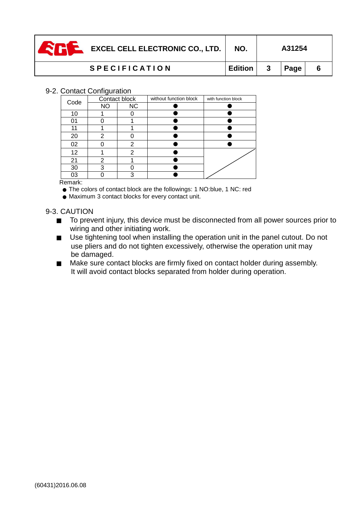| EXCEL CELL ELECTRONIC CO., LTD. | NO.            |                  | A31254 |   |
|---------------------------------|----------------|------------------|--------|---|
| <b>SPECIFICATION</b>            | <b>Edition</b> | $\boldsymbol{3}$ | Page   | 6 |

#### 9-2. Contact Configuration

| Code   | Contact block |           | without function block | with function block |
|--------|---------------|-----------|------------------------|---------------------|
|        | <b>NO</b>     | <b>NC</b> |                        |                     |
| 10     |               |           |                        |                     |
| 01     |               |           |                        |                     |
| 11     |               |           |                        |                     |
| 20     | າ             |           |                        |                     |
| 02     |               | 2         |                        |                     |
| 12     |               | っ         |                        |                     |
| 21     | າ             |           |                        |                     |
| 30     | 2             |           |                        |                     |
| 03     |               | 3         |                        |                     |
| $\sim$ |               |           |                        |                     |

#### Remark:

● The colors of contact block are the followings: 1 NO:blue, 1 NC: red

● Maximum 3 contact blocks for every contact unit.

#### 9-3. CAUTION

- To prevent injury, this device must be disconnected from all power sources prior to wiring and other initiating work.
- $\Box$  Use tightening tool when installing the operation unit in the panel cutout. Do not use pliers and do not tighten excessively, otherwise the operation unit may be damaged.
- Make sure contact blocks are firmly fixed on contact holder during assembly. It will avoid contact blocks separated from holder during operation.